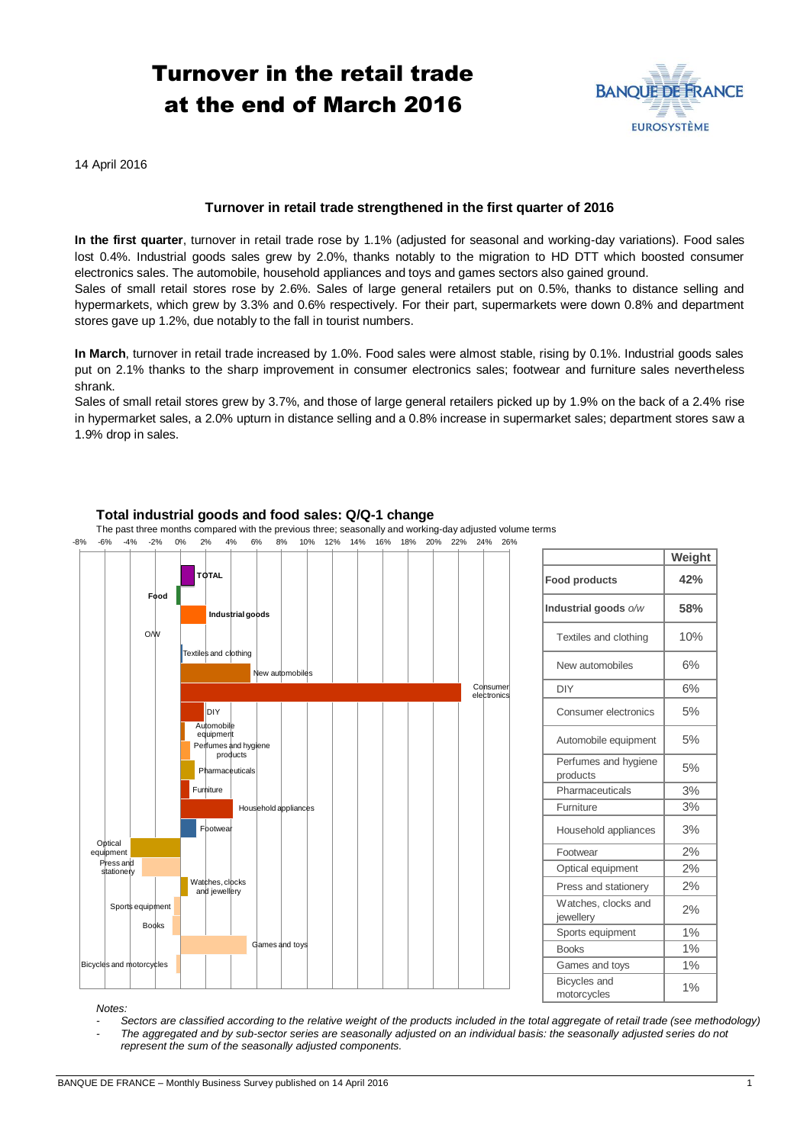# Turnover in the retail trade at the end of March 2016



14 April 2016

## **Turnover in retail trade strengthened in the first quarter of 2016**

**In the first quarter**, turnover in retail trade rose by 1.1% (adjusted for seasonal and working-day variations). Food sales lost 0.4%. Industrial goods sales grew by 2.0%, thanks notably to the migration to HD DTT which boosted consumer electronics sales. The automobile, household appliances and toys and games sectors also gained ground. Sales of small retail stores rose by 2.6%. Sales of large general retailers put on 0.5%, thanks to distance selling and hypermarkets, which grew by 3.3% and 0.6% respectively. For their part, supermarkets were down 0.8% and department stores gave up 1.2%, due notably to the fall in tourist numbers.

**In March**, turnover in retail trade increased by 1.0%. Food sales were almost stable, rising by 0.1%. Industrial goods sales put on 2.1% thanks to the sharp improvement in consumer electronics sales; footwear and furniture sales nevertheless shrank.

Sales of small retail stores grew by 3.7%, and those of large general retailers picked up by 1.9% on the back of a 2.4% rise in hypermarket sales, a 2.0% upturn in distance selling and a 0.8% increase in supermarket sales; department stores saw a 1.9% drop in sales.



## **Total industrial goods and food sales: Q/Q-1 change**

The past three months compared with the previous three; seasonally and working-day adjusted volume terms

|                                    | Weight |
|------------------------------------|--------|
| <b>Food products</b>               | 42%    |
| Industrial goods o/w               | 58%    |
| Textiles and clothing              | 10%    |
| New automobiles                    | 6%     |
| <b>DIY</b>                         | 6%     |
| Consumer electronics               | 5%     |
| Automobile equipment               | 5%     |
| Perfumes and hygiene<br>products   | 5%     |
| Pharmaceuticals                    | 3%     |
| Furniture                          | 3%     |
| Household appliances               | 3%     |
| Footwear                           | 2%     |
| Optical equipment                  | 2%     |
| Press and stationery               | 2%     |
| Watches, clocks and<br>jewellery   | 2%     |
| Sports equipment                   | 1%     |
| <b>Books</b>                       | 1%     |
| Games and toys                     | 1%     |
| <b>Bicycles</b> and<br>motorcycles | 1%     |

*Notes:* 

*- Sectors are classified according to the relative weight of the products included in the total aggregate of retail trade (see methodology) - The aggregated and by sub-sector series are seasonally adjusted on an individual basis: the seasonally adjusted series do not represent the sum of the seasonally adjusted components.*